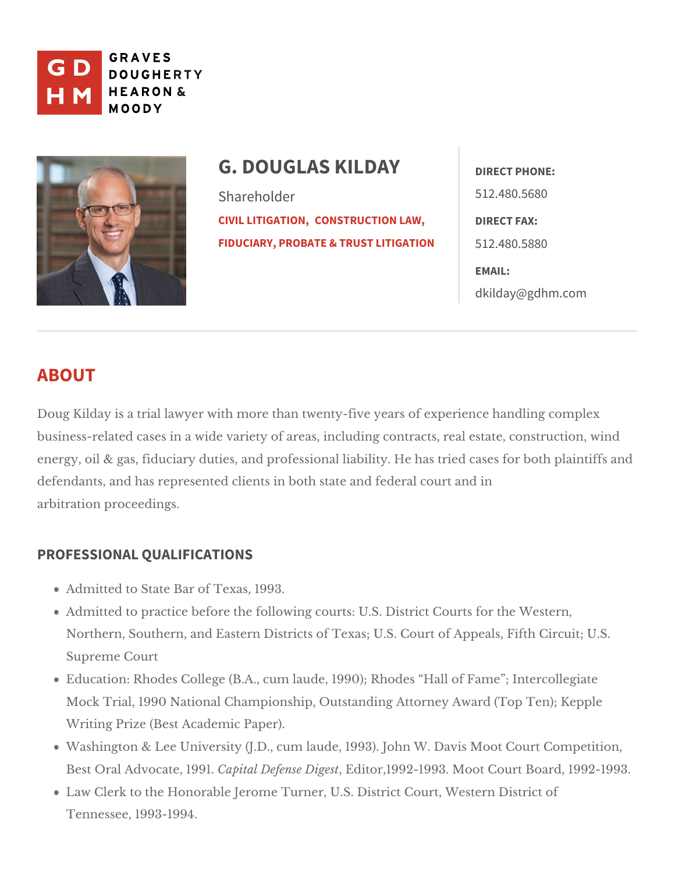

# G. DOUGLAS KILDAE TPHONE: Shareholder [CIVIL LITIG](https://www.gdhm.com/practice-areas/civil-litigation/) & DINOSNT, RUCTION LAWIRECT FAX: [FIDUCIARY, PROBATE & T](https://www.gdhm.com/practice-areas/fiduciary-probate-trust-litigation/)RUST5UIZI46800.5880 512.480.5680 EMAIL: [dkilday@gdh](mailto:dkilday@gdhm.com)m.com

# ABOUT

Doug Kilday is a trial lawyer with more than twenty-five years of experience business-related cases in a wide variety of areas, including contracts, real e energy, oil & gas, fiduciary duties, and professional liability. He has tried ca defendants, and has represented clients in both state and federal court and i arbitration proceedings.

# PROFESSIONAL QUALIFICATIONS

Admitted to State Bearast 1993.

Admitted to practice before the following courts: U.S. District Courts for Northern, Southern, and Eastern Districts of Texas; U.S. Court of Appeals Supreme Court

Education: Rhodes College (B.A., cum laude, 1990); Rhodes Hall of Fame Mock Trial, 1990 National Championship, Outstanding Attorney Award (To Writing Prize (ABceasotemic Paper).

Washington & Lee University (J.D., cum laude, 1993). John W. Davis Moot Best Oral AdvocateC, a p 9 t9 all. Defense EDd gteost 1992-1993. MobbaCrdurt 992-1993. Law Clerk to the Honorable Jerome Turner, U.S. District Court, Western D Tennessee, 1993-1994.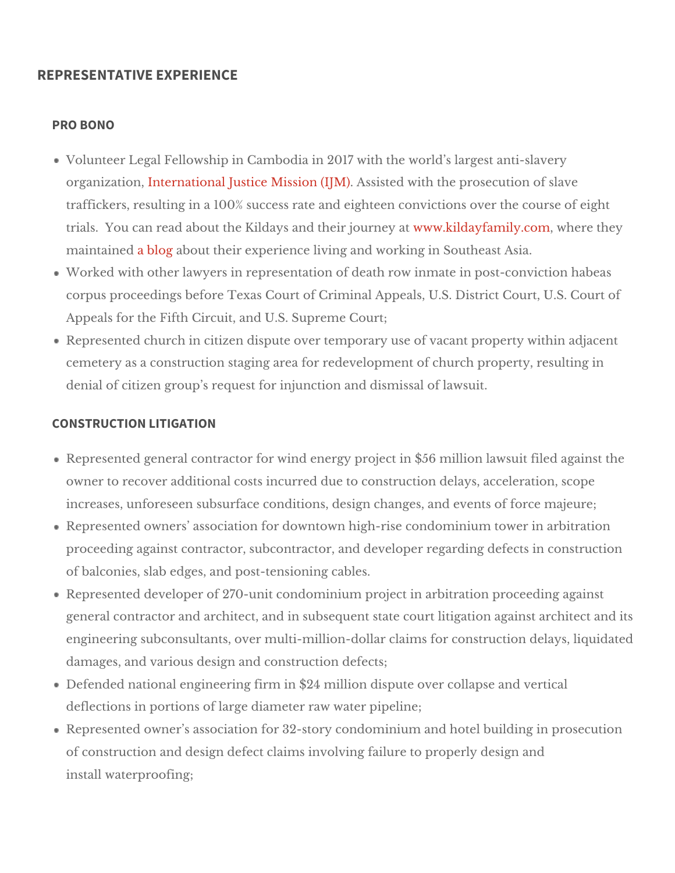### REPRESENTATIVE EXPERIENCE

#### PRO BONO

Volunteer Legal Fellowship in Cambodia in 2017 with the world s largest organizatibmternational Justice Mission  $\mathcal{S}$  (sto  $\mathcal{M}$ ) with the prosecution of slave traffickers, resulting in a 100% success rate and eighteen convictions ov trials. You can read about the Kildays and www.howekrilichau yrifraeny ilayt.com here they maintain adblog bout their experience living an & ownd heangt insia.

Worked with other lawyers in representation of death row inmate in postcorpus proceedings before Texas Court of Criminal Appeals, U.S. District Appeals for the Fifth Circuis, up net multismusts  $\mathcal{S}$  ourt;

Represented church in citizen dispute over temporary use of vacant prope cemetery as a construction staging area for redevelopment of church prop denial of citizen group s request for injunctoon ames and ismissal

#### CONSTRUCTION LITIGATION

Represented general contractor for wind energy project in \$56 million law owner to recover additional costs incurred due to construction delays, ac increases, unforeseen subsurface conditions, design dbanges ajanude events Represented owners association for downtown high-rise condominium tow proceeding against contractor, subcontractor, and developer regarding de of balconies, slab edgoesst, tæmdsioning cables.

Represented developer of 270-unit condominium project in arbitration pro general contractor and architect, and in subsequent state court litigation engineering subconsultants, over multi-million-dollar claims for construct damages, and various deconignstrauncdion defects;

Defended national engineering firm in \$24 million dispute over collapse a deflections in portions of large dwiater to pipreal whe;

Represented owner s association for 32-story condominium and hotel buil of construction and design defect claims involving failure to properly des install waterproofing;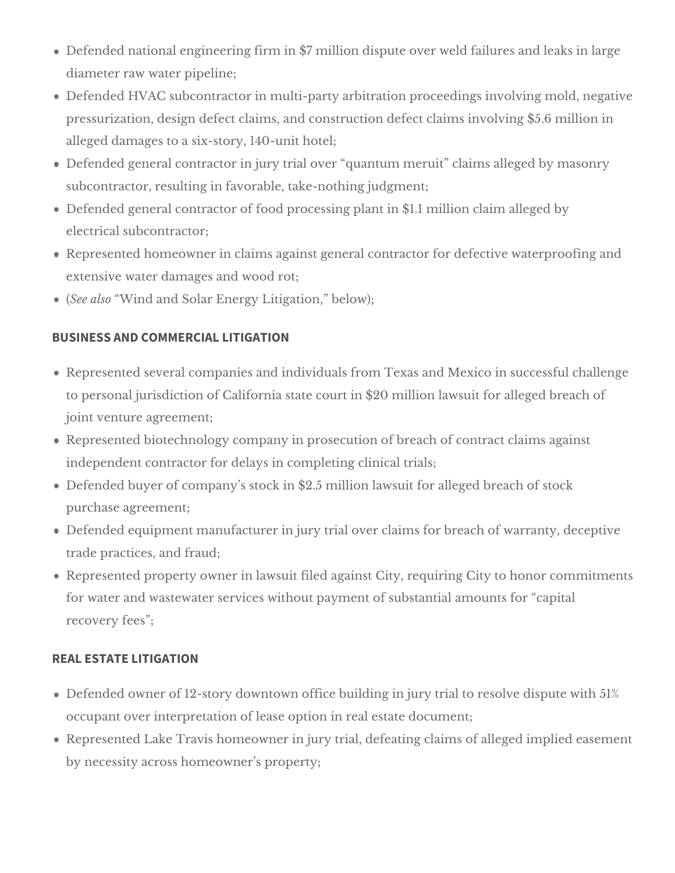- Defended national engineering firm in \$7 million dispute over weld failures and leaks in large diameter raw water pipeline;
- Defended HVAC subcontractor in multi-party arbitration proceedings involving mold, negative pressurization, design defect claims, and construction defect claims involving \$5.6 million in alleged damages to a six-story, 140-unit hotel;
- Defended general contractor in jury trial over "quantum meruit" claims alleged by masonry subcontractor, resulting in favorable, take-nothing judgment;
- Defended general contractor of food processing plant in \$1.1 million claim alleged by electrical subcontractor;
- Represented homeowner in claims against general contractor for defective waterproofing and extensive water damages and wood rot;
- (*See also* "Wind and Solar Energy Litigation," below);

# **BUSINESS AND COMMERCIAL LITIGATION**

- Represented several companies and individuals from Texas and Mexico in successful challenge to personal jurisdiction of California state court in \$20 million lawsuit for alleged breach of joint venture agreement;
- Represented biotechnology company in prosecution of breach of contract claims against independent contractor for delays in completing clinical trials;
- Defended buyer of company's stock in \$2.5 million lawsuit for alleged breach of stock purchase agreement;
- Defended equipment manufacturer in jury trial over claims for breach of warranty, deceptive trade practices, and fraud;
- Represented property owner in lawsuit filed against City, requiring City to honor commitments for water and wastewater services without payment of substantial amounts for "capital recovery fees";

# **REAL ESTATE LITIGATION**

- Defended owner of 12-story downtown office building in jury trial to resolve dispute with 51% occupant over interpretation of lease option in real estate document;
- Represented Lake Travis homeowner in jury trial, defeating claims of alleged implied easement by necessity across homeowner's property;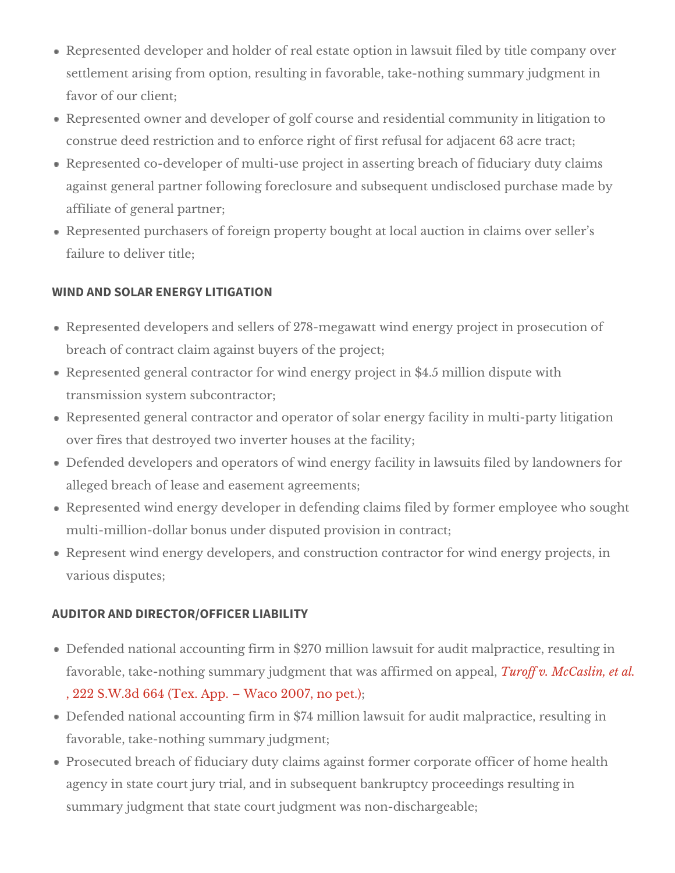Represented developer and holder of real estate option in lawsuit filed by settlement arising from option, resulting in favorable, take-nothing summ favor of fur client;

Represented owner and developer of golf course and residential community construe deed restriction and to enforce right of first rædues al afoctr; adjacent Represented co-developer of multi-use project in asserting breach of fidu against general partner following foreclosure and subsequent undisclosed affiliategemeral partner;

Represented purchasers of foreign property bought at local auction in cla failure deliver title;

#### WIND AND SOLAR ENERGY LITIGATION

Represented developers and sellers of 278-megawatt wind energy project breach of contract claim againsheb pyers cof

Represented general contractor for wind energy project in \$4.5 million di transmissison rsubcontractor;

Represented general contractor and operator of solar energy facility in m over fires that destroyed two invertheer hacculsiety; at

Defended developers and operators of wind energy facility in lawsuits file alleged breach of leeassee annecht agreements;

Represented wind energy developer in defending claims filed by former employed and multi-million-dollar bonus under disputiend compoter ascitogn

Represent wind energy developers, and construction contractor for wind  $\epsilon$ various disputes;

#### AUDITOR AND DIRECTOR/OFFICER LIABILITY

Defended national accounting firm in \$270 million lawsuit for audit malpra favorable, take-nothing summary judgment that was allent and allen cappeal in equipments. , 222 S.W.3d 664 (Tex. App. Waco; 2007, no pet.)

Defended national accounting firm in \$74 million lawsuit for audit malprad favorable, take-n**st**him mgary judgment;

Prosecuted breach of fiduciary duty claims against former corporate offic agency in state court jury trial, and in subsequent bankruptcy proceeding summary judgment that state counwajsudopment is chargeable;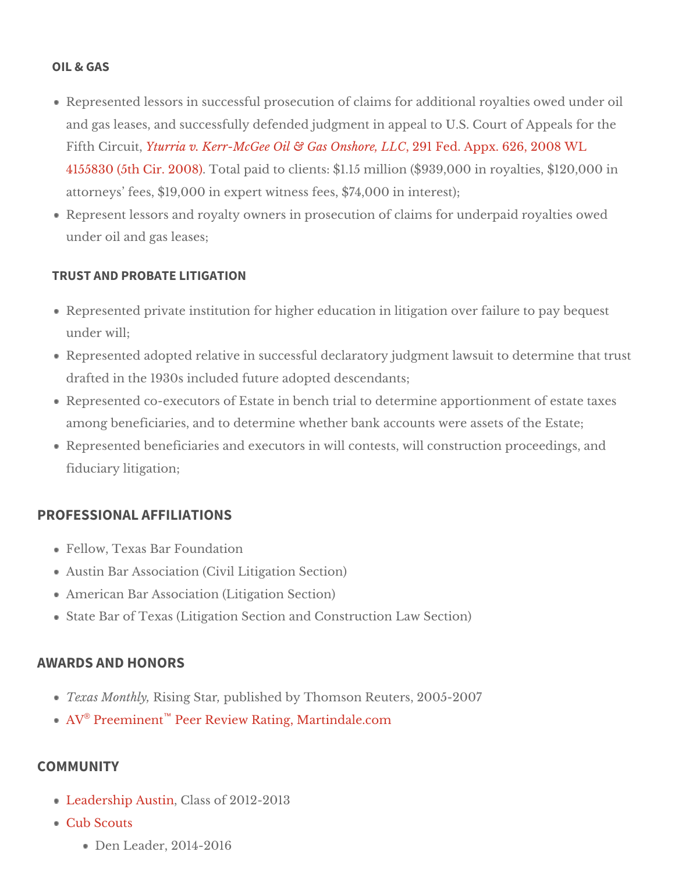#### OIL & GAS

Represented lessors in successful prosecution of claims for additional ro and gas leases, and successfully defended judgment in appeal to U.S. Co Fifth Circ ortiturria v. Kerr-McGee Oil & Gas, **28 \$hFoge.** Appx. 626, 2008 WL [4155830 \(5th Cir](https://www.gdhm.com/wp-content/uploads/2016/08/gdk-kerr-mcgee-v-yturria.pdf). 2008) paid to clients: \$1.15 million (\$939,000 in royalti attorneys fees,  $$19,000$  in expert witness interest  $$7,4,000$ Represent lessors and royalty owners in prosecution of claims for underp under oil agrads leases;

#### TRUST AND PROBATE LITIGATION

Represented private institution for higher education in litigation over fail under will;

Represented adopted relative in successful declaratory judgment that westuit drafted in the 1930s included  $\phi$  funder descendants;

Represented co-executors of Estate in bench trial to determine apportion among beneficiaries, and to determine whether bank actoeun Elst wheene assets Represented beneficiaries and executors in will contests, will constructio fiduciary litigation;

## PROFESSIONAL AFFILIATIONS

Fellow, Texas Bar Foundation Austin Bar Associatidrit (Cavion Section) American Bar AssocLatigation Section) State Bar of Texas (Litigation Section abdwC Sestion ion

### AWARDS AND HONORS

Texas MontRhilsying Star until ished by Thom Resort there are 2005-2007 A <sup>[®](http://www.martindale.com/G-Douglas-Kilday/1625378-lawyer.htm)</sup> Preeminën Pteer Review Rating, Martindale.com

### COMMUNITY

[Leadership A](http://www.leadershipaustin.org/)usClines 2012-2013 [Cub Sco](https://cubscouts.org/)uts

Den Leader, 2014-2016